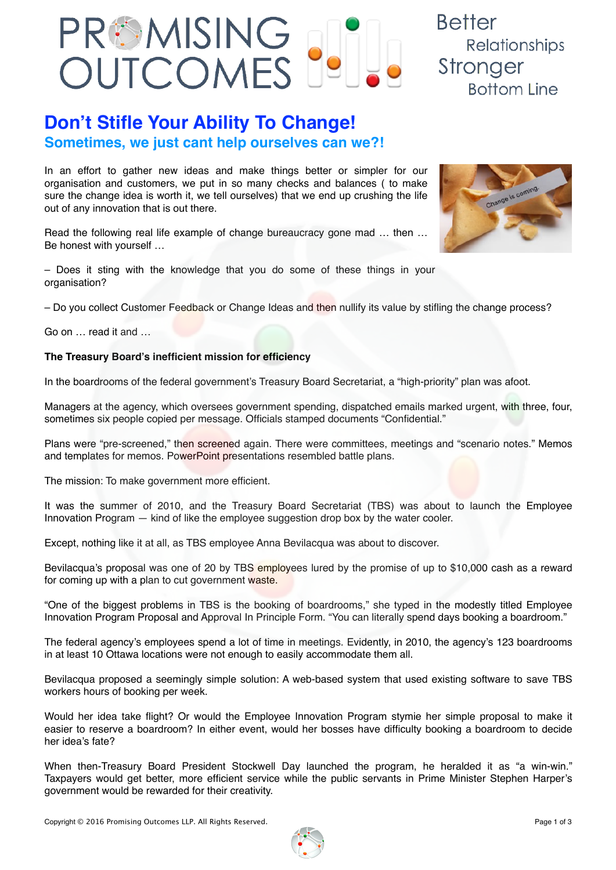

## **Don't Stifle Your Ability To Change! Sometimes, we just cant help ourselves can we?!**

In an effort to gather new ideas and make things better or simpler for our organisation and customers, we put in so many checks and balances ( to make sure the change idea is worth it, we tell ourselves) that we end up crushing the life out of any innovation that is out there.

Read the following real life example of change bureaucracy gone mad ... then ... Be honest with yourself …

– Does it sting with the knowledge that you do some of these things in your organisation?

– Do you collect Customer Feedback or Change Ideas and then nullify its value by stifling the change process?

Go on … read it and …

## **The Treasury Board's inefficient mission for efficiency**

In the boardrooms of the federal government's Treasury Board Secretariat, a "high-priority" plan was afoot.

Managers at the agency, which oversees government spending, dispatched emails marked urgent, with three, four, sometimes six people copied per message. Officials stamped documents "Confidential."

Plans were "pre-screened," then screened again. There were committees, meetings and "scenario notes." Memos and templates for memos. PowerPoint presentations resembled battle plans.

The mission: To make government more efficient.

It was the summer of 2010, and the Treasury Board Secretariat (TBS) was about to launch the Employee Innovation Program — kind of like the employee suggestion drop box by the water cooler.

Except, nothing like it at all, as TBS employee Anna Bevilacqua was about to discover.

Bevilacqua's proposal was one of 20 by TBS employees lured by the promise of up to \$10,000 cash as a reward for coming up with a plan to cut government waste.

"One of the biggest problems in TBS is the booking of boardrooms," she typed in the modestly titled Employee Innovation Program Proposal and Approval In Principle Form. "You can literally spend days booking a boardroom."

The federal agency's employees spend a lot of time in meetings. Evidently, in 2010, the agency's 123 boardrooms in at least 10 Ottawa locations were not enough to easily accommodate them all.

Bevilacqua proposed a seemingly simple solution: A web-based system that used existing software to save TBS workers hours of booking per week.

Would her idea take flight? Or would the Employee Innovation Program stymie her simple proposal to make it easier to reserve a boardroom? In either event, would her bosses have difficulty booking a boardroom to decide her idea's fate?

When then-Treasury Board President Stockwell Day launched the program, he heralded it as "a win-win." Taxpayers would get better, more efficient service while the public servants in Prime Minister Stephen Harper's government would be rewarded for their creativity.



Relationships

**Bottom Line** 

**Better** 

Stronger

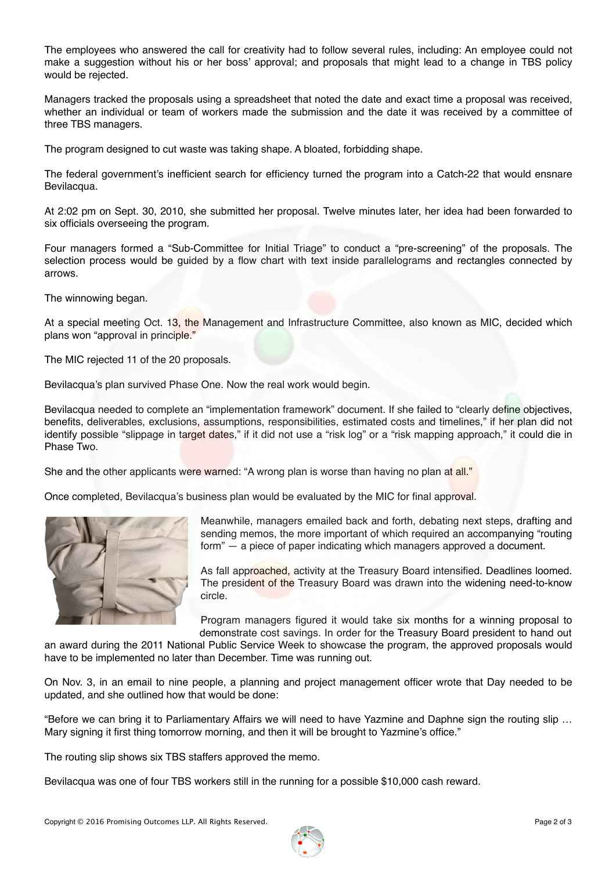The employees who answered the call for creativity had to follow several rules, including: An employee could not make a suggestion without his or her boss' approval; and proposals that might lead to a change in TBS policy would be rejected.

Managers tracked the proposals using a spreadsheet that noted the date and exact time a proposal was received, whether an individual or team of workers made the submission and the date it was received by a committee of three TBS managers.

The program designed to cut waste was taking shape. A bloated, forbidding shape.

The federal government's inefficient search for efficiency turned the program into a Catch-22 that would ensnare Bevilacqua.

At 2:02 pm on Sept. 30, 2010, she submitted her proposal. Twelve minutes later, her idea had been forwarded to six officials overseeing the program.

Four managers formed a "Sub-Committee for Initial Triage" to conduct a "pre-screening" of the proposals. The selection process would be guided by a flow chart with text inside parallelograms and rectangles connected by arrows.

The winnowing began.

At a special meeting Oct. 13, the Management and Infrastructure Committee, also known as MIC, decided which plans won "approval in principle."

The MIC rejected 11 of the 20 proposals.

Bevilacqua's plan survived Phase One. Now the real work would begin.

Bevilacqua needed to complete an "implementation framework" document. If she failed to "clearly define objectives, benefits, deliverables, exclusions, assumptions, responsibilities, estimated costs and timelines," if her plan did not identify possible "slippage in target dates," if it did not use a "risk log" or a "risk mapping approach," it could die in Phase Two.

She and the other applicants were warned: "A wrong plan is worse than having no plan at all."

Once completed, Bevilacqua's business plan would be evaluated by the MIC for final approval.



Meanwhile, managers emailed back and forth, debating next steps, drafting and sending memos, the more important of which required an accompanying "routing form" — a piece of paper indicating which managers approved a document.

As fall approached, activity at the Treasury Board intensified. Deadlines loomed. The president of the Treasury Board was drawn into the widening need-to-know circle.

Program managers figured it would take six months for a winning proposal to demonstrate cost savings. In order for the Treasury Board president to hand out

an award during the 2011 National Public Service Week to showcase the program, the approved proposals would have to be implemented no later than December. Time was running out.

On Nov. 3, in an email to nine people, a planning and project management officer wrote that Day needed to be updated, and she outlined how that would be done:

"Before we can bring it to Parliamentary Affairs we will need to have Yazmine and Daphne sign the routing slip … Mary signing it first thing tomorrow morning, and then it will be brought to Yazmine's office."

The routing slip shows six TBS staffers approved the memo.

Bevilacqua was one of four TBS workers still in the running for a possible \$10,000 cash reward.